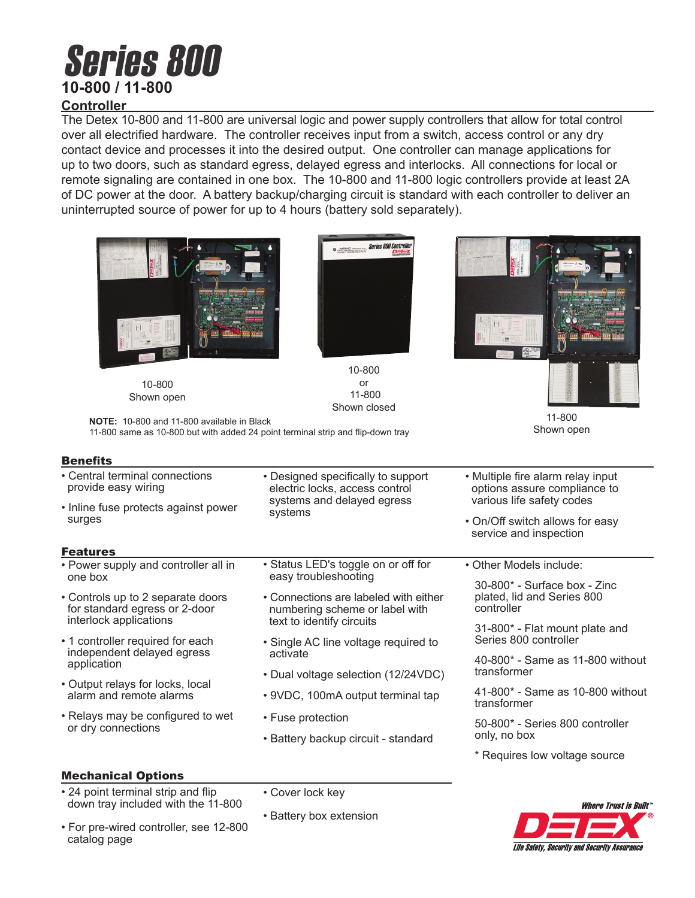# **Series 800 10-800 / 11-800**

# **Controller**

The Detex 10-800 and 11-800 are universal logic and power supply controllers that allow for total control over all electrified hardware. The controller receives input from a switch, access control or any dry contact device and processes it into the desired output. One controller can manage applications for up to two doors, such as standard egress, delayed egress and interlocks. All connections for local or remote signaling are contained in one box. The 10-800 and 11-800 logic controllers provide at least 2A of DC power at the door. A battery backup/charging circuit is standard with each controller to deliver an uninterrupted source of power for up to 4 hours (battery sold separately).



10-800 Shown open



10-800 or 11-800 Shown closed



11-800 Shown open

**NOTE:** 10-800 and 11-800 available in Black 11-800 same as 10-800 but with added 24 point terminal strip and flip-down tray

### **Benefits**

| • Central terminal connections<br>provide easy wiring                         | • Designed specifically to support<br>electric locks, access control<br>systems and delayed egress<br>systems | • Multiple fire alarm relay input<br>options assure compliance to                                   |
|-------------------------------------------------------------------------------|---------------------------------------------------------------------------------------------------------------|-----------------------------------------------------------------------------------------------------|
| • Inline fuse protects against power<br>surges                                |                                                                                                               | various life safety codes<br>• On/Off switch allows for easy<br>service and inspection              |
| <b>Features</b>                                                               |                                                                                                               |                                                                                                     |
| • Power supply and controller all in<br>one box                               | • Status LED's toggle on or off for<br>easy troubleshooting                                                   | • Other Models include:<br>30-800* - Surface box - Zinc<br>plated, lid and Series 800<br>controller |
| • Controls up to 2 separate doors<br>for standard egress or 2-door            | • Connections are labeled with either<br>numbering scheme or label with<br>text to identify circuits          |                                                                                                     |
| interlock applications                                                        |                                                                                                               | 31-800* - Flat mount plate and                                                                      |
| • 1 controller required for each<br>independent delayed egress<br>application | • Single AC line voltage required to<br>activate                                                              | Series 800 controller                                                                               |
|                                                                               |                                                                                                               | 40-800* - Same as 11-800 without                                                                    |
| • Output relays for locks, local<br>alarm and remote alarms                   | • Dual voltage selection (12/24VDC)                                                                           | transformer                                                                                         |
|                                                                               | • 9VDC, 100mA output terminal tap                                                                             | 41-800* - Same as 10-800 without<br>transformer                                                     |
| • Relays may be configured to wet<br>or dry connections                       | • Fuse protection                                                                                             | 50-800* - Series 800 controller<br>only, no box                                                     |
|                                                                               | • Battery backup circuit - standard                                                                           |                                                                                                     |
|                                                                               |                                                                                                               | * Requires low voltage source                                                                       |
| <b>Mechanical Options</b>                                                     |                                                                                                               |                                                                                                     |
| • 24 point terminal strip and flip<br>down tray included with the 11-800      | • Cover lock key                                                                                              | <i><b>Where Trust is Built</b></i>                                                                  |

• For pre-wired controller, see 12-800 catalog page • Battery box extension